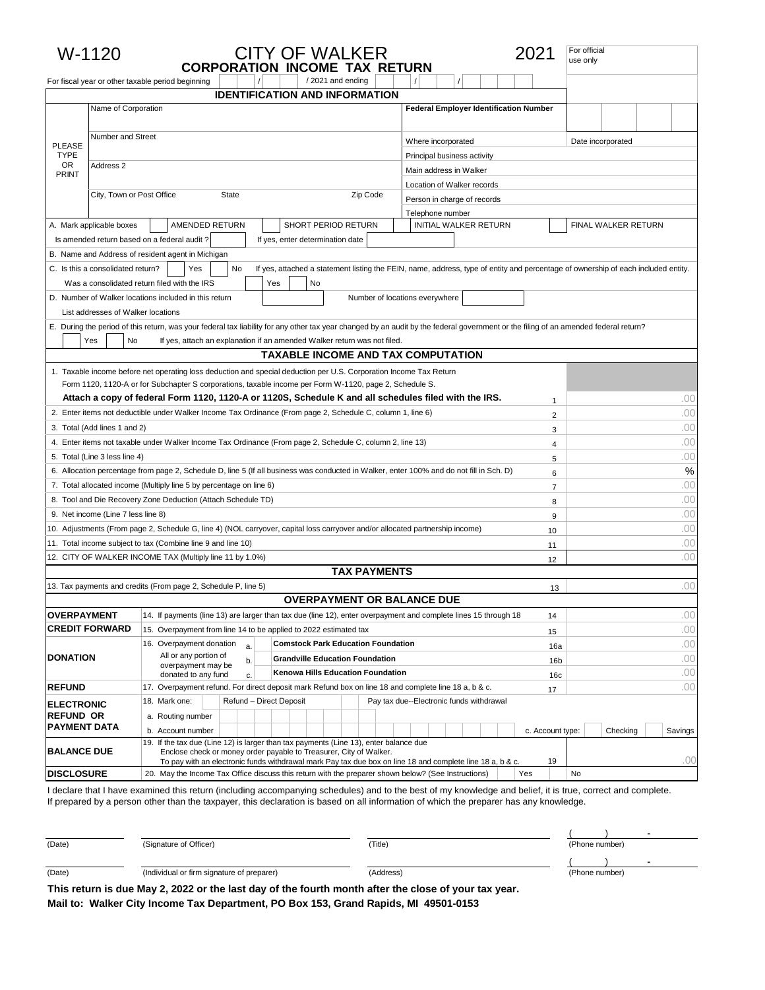|                                   | W-1120                             | <b>CITY OF WALKER</b><br><b>CORPORATION INCOME TAX RETURN</b>                                                                                                                        |                                                                                                                                   | 2021             | For official<br>use only |
|-----------------------------------|------------------------------------|--------------------------------------------------------------------------------------------------------------------------------------------------------------------------------------|-----------------------------------------------------------------------------------------------------------------------------------|------------------|--------------------------|
|                                   |                                    | /2021 and ending<br>For fiscal year or other taxable period beginning                                                                                                                |                                                                                                                                   |                  |                          |
|                                   | Name of Corporation                | <b>IDENTIFICATION AND INFORMATION</b>                                                                                                                                                | <b>Federal Employer Identification Number</b>                                                                                     |                  |                          |
|                                   |                                    |                                                                                                                                                                                      |                                                                                                                                   |                  |                          |
|                                   | Number and Street                  |                                                                                                                                                                                      | Where incorporated                                                                                                                |                  | Date incorporated        |
| <b>PLEASE</b><br><b>TYPE</b>      |                                    |                                                                                                                                                                                      | Principal business activity                                                                                                       |                  |                          |
| OR                                | Address 2                          |                                                                                                                                                                                      | Main address in Walker                                                                                                            |                  |                          |
| PRINT                             |                                    |                                                                                                                                                                                      | Location of Walker records                                                                                                        |                  |                          |
|                                   | City, Town or Post Office          | <b>State</b><br>Zip Code                                                                                                                                                             | Person in charge of records                                                                                                       |                  |                          |
|                                   |                                    |                                                                                                                                                                                      | Telephone number                                                                                                                  |                  |                          |
|                                   | A. Mark applicable boxes           | AMENDED RETURN<br>SHORT PERIOD RETURN                                                                                                                                                | <b>INITIAL WALKER RETURN</b>                                                                                                      |                  | FINAL WALKER RETURN      |
|                                   |                                    | Is amended return based on a federal audit?<br>If yes, enter determination date                                                                                                      |                                                                                                                                   |                  |                          |
|                                   |                                    | B. Name and Address of resident agent in Michigan                                                                                                                                    |                                                                                                                                   |                  |                          |
|                                   | C. Is this a consolidated return?  | No<br>Yes                                                                                                                                                                            | If yes, attached a statement listing the FEIN, name, address, type of entity and percentage of ownership of each included entity. |                  |                          |
|                                   |                                    | Was a consolidated return filed with the IRS<br>Yes<br>No                                                                                                                            |                                                                                                                                   |                  |                          |
|                                   |                                    | D. Number of Walker locations included in this return                                                                                                                                | Number of locations everywhere                                                                                                    |                  |                          |
|                                   | List addresses of Walker locations |                                                                                                                                                                                      |                                                                                                                                   |                  |                          |
|                                   |                                    | E. During the period of this return, was your federal tax liability for any other tax year changed by an audit by the federal government or the filing of an amended federal return? |                                                                                                                                   |                  |                          |
|                                   | Yes<br>No                          | If yes, attach an explanation if an amended Walker return was not filed.                                                                                                             |                                                                                                                                   |                  |                          |
|                                   |                                    | <b>TAXABLE INCOME AND TAX COMPUTATION</b>                                                                                                                                            |                                                                                                                                   |                  |                          |
|                                   |                                    | 1. Taxable income before net operating loss deduction and special deduction per U.S. Corporation Income Tax Return                                                                   |                                                                                                                                   |                  |                          |
|                                   |                                    | Form 1120, 1120-A or for Subchapter S corporations, taxable income per Form W-1120, page 2, Schedule S.                                                                              |                                                                                                                                   |                  |                          |
|                                   |                                    | Attach a copy of federal Form 1120, 1120-A or 1120S, Schedule K and all schedules filed with the IRS.                                                                                |                                                                                                                                   | 1                | .00                      |
|                                   |                                    | 2. Enter items not deductible under Walker Income Tax Ordinance (From page 2, Schedule C, column 1, line 6)                                                                          |                                                                                                                                   | $\overline{2}$   | .00                      |
| 3. Total (Add lines 1 and 2)<br>3 |                                    |                                                                                                                                                                                      |                                                                                                                                   | .00              |                          |
|                                   |                                    | 4. Enter items not taxable under Walker Income Tax Ordinance (From page 2, Schedule C, column 2, line 13)                                                                            |                                                                                                                                   | 4                | .00                      |
|                                   | 5. Total (Line 3 less line 4)      |                                                                                                                                                                                      |                                                                                                                                   | 5                | .00                      |
|                                   |                                    | 6. Allocation percentage from page 2, Schedule D, line 5 (If all business was conducted in Walker, enter 100% and do not fill in Sch. D)                                             |                                                                                                                                   | 6                | %                        |
|                                   |                                    | 7. Total allocated income (Multiply line 5 by percentage on line 6)                                                                                                                  |                                                                                                                                   | $\overline{7}$   | .00                      |
|                                   |                                    | 8. Tool and Die Recovery Zone Deduction (Attach Schedule TD)                                                                                                                         |                                                                                                                                   | 8                | .00                      |
|                                   | 9. Net income (Line 7 less line 8) |                                                                                                                                                                                      |                                                                                                                                   | 9                | .00                      |
|                                   |                                    | 10. Adjustments (From page 2, Schedule G, line 4) (NOL carryover, capital loss carryover and/or allocated partnership income)                                                        |                                                                                                                                   | 10               | .00                      |
|                                   |                                    | 11. Total income subject to tax (Combine line 9 and line 10)                                                                                                                         |                                                                                                                                   | 11               | .00<br>.00               |
|                                   |                                    | 12. CITY OF WALKER INCOME TAX (Multiply line 11 by 1.0%)<br><b>TAX PAYMENTS</b>                                                                                                      |                                                                                                                                   | 12               |                          |
|                                   |                                    | 13. Tax payments and credits (From page 2, Schedule P, line 5)                                                                                                                       |                                                                                                                                   | 13               | .00                      |
|                                   |                                    | <b>OVERPAYMENT OR BALANCE DUE</b>                                                                                                                                                    |                                                                                                                                   |                  |                          |
| <b>OVERPAYMENT</b>                |                                    | 14. If payments (line 13) are larger than tax due (line 12), enter overpayment and complete lines 15 through 18                                                                      |                                                                                                                                   | 14               | .00                      |
|                                   | <b>CREDIT FORWARD</b>              | 15. Overpayment from line 14 to be applied to 2022 estimated tax                                                                                                                     |                                                                                                                                   | 15               | .00                      |
|                                   |                                    | 16. Overpayment donation<br><b>Comstock Park Education Foundation</b><br>a.                                                                                                          |                                                                                                                                   | 16a              | .00                      |
| <b>DONATION</b>                   |                                    | All or any portion of<br><b>Grandville Education Foundation</b><br>b.                                                                                                                |                                                                                                                                   | 16 <sub>b</sub>  | .00                      |
|                                   |                                    | overpayment may be<br>Kenowa Hills Education Foundation<br>donated to any fund<br>c.                                                                                                 |                                                                                                                                   | 16c              | .00                      |
| <b>REFUND</b>                     |                                    | 17. Overpayment refund. For direct deposit mark Refund box on line 18 and complete line 18 a, b & c.                                                                                 |                                                                                                                                   | 17               | .00                      |
| <b>ELECTRONIC</b>                 |                                    | 18. Mark one:<br>Refund - Direct Deposit                                                                                                                                             | Pay tax due--Electronic funds withdrawal                                                                                          |                  |                          |
| <b>REFUND OR</b>                  |                                    | a. Routing number                                                                                                                                                                    |                                                                                                                                   |                  |                          |
| <b>PAYMENT DATA</b>               |                                    | b. Account number                                                                                                                                                                    |                                                                                                                                   | c. Account type: | Checking<br>Savings      |
| <b>BALANCE DUE</b>                |                                    | 19. If the tax due (Line 12) is larger than tax payments (Line 13), enter balance due<br>Enclose check or money order payable to Treasurer, City of Walker.                          |                                                                                                                                   |                  |                          |
|                                   |                                    | To pay with an electronic funds withdrawal mark Pay tax due box on line 18 and complete line 18 a, b & c.                                                                            |                                                                                                                                   | 19               | .OC                      |
| <b>DISCLOSURE</b>                 |                                    | 20. May the Income Tax Office discuss this return with the preparer shown below? (See Instructions)                                                                                  | Yes                                                                                                                               |                  | No                       |

I declare that I have examined this return (including accompanying schedules) and to the best of my knowledge and belief, it is true, correct and complete. If prepared by a person other than the taxpayer, this declaration is based on all information of which the preparer has any knowledge.

| (Date)<br>(Signature of Officer) |                                            | 'Title)   | (Phone number) |
|----------------------------------|--------------------------------------------|-----------|----------------|
|                                  |                                            |           |                |
| (Date)                           | (Individual or firm signature of preparer) | (Address) | (Phone number) |
| $-1$                             | .                                          | $\sim$    |                |

**This return is due May 2, 2022 or the last day of the fourth month after the close of your tax year. Mail to: Walker City Income Tax Department, PO Box 153, Grand Rapids, MI 49501-0153**